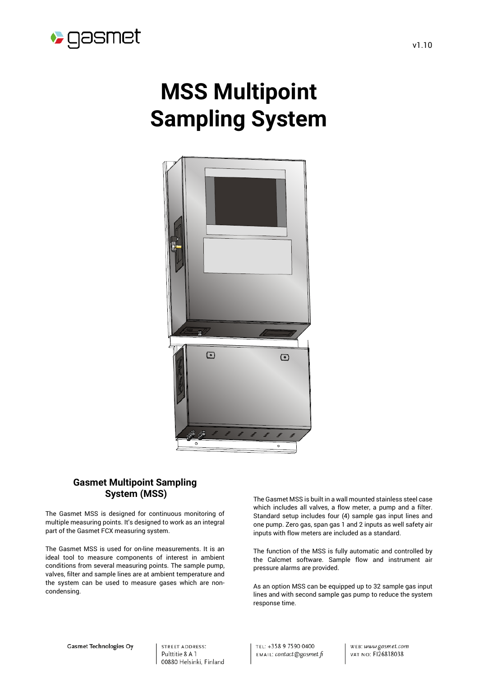

# **MSS Multipoint Sampling System**



## **Gasmet Multipoint Sampling System (MSS)**

The Gasmet MSS is designed for continuous monitoring of multiple measuring points. It's designed to work as an integral part of the Gasmet FCX measuring system.

The Gasmet MSS is used for on-line measurements. It is an ideal tool to measure components of interest in ambient conditions from several measuring points. The sample pump, valves, filter and sample lines are at ambient temperature and the system can be used to measure gases which are noncondensing.

The Gasmet MSS is built in a wall mounted stainless steel case which includes all valves, a flow meter, a pump and a filter. Standard setup includes four (4) sample gas input lines and one pump. Zero gas, span gas 1 and 2 inputs as well safety air inputs with flow meters are included as a standard.

The function of the MSS is fully automatic and controlled by the Calcmet software. Sample flow and instrument air pressure alarms are provided.

As an option MSS can be equipped up to 32 sample gas input lines and with second sample gas pump to reduce the system response time.

**STREET ADDRESS:** Pulttitie 8 A 1 00880 Helsinki, Finland TEL: +358 9 7590 0400 EMAIL: contact@gasmet.fi WEB: www.gasmet.com VAT NO: FI26818038